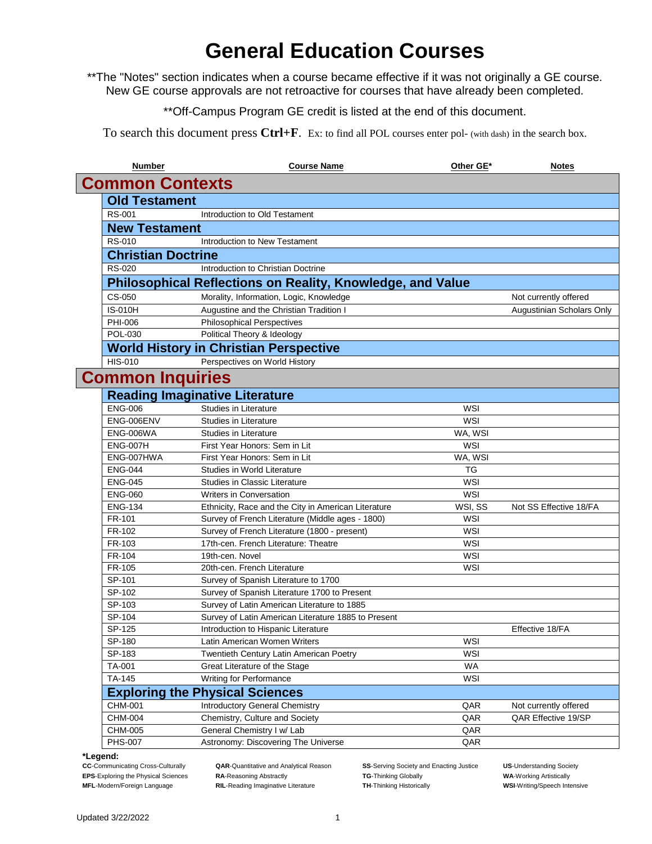# **General Education Courses**

\*\*The "Notes" section indicates when a course became effective if it was not originally a GE course. New GE course approvals are not retroactive for courses that have already been completed.

\*\*Off-Campus Program GE credit is listed at the end of this document.

To search this document press **Ctrl+F**. Ex: to find all POL courses enter pol- (with dash) in the search box.

| <b>Number</b>                    | <b>Course Name</b>                                                             | Other GE*         | <b>Notes</b>              |  |  |  |
|----------------------------------|--------------------------------------------------------------------------------|-------------------|---------------------------|--|--|--|
|                                  | <b>Common Contexts</b>                                                         |                   |                           |  |  |  |
| <b>Old Testament</b>             |                                                                                |                   |                           |  |  |  |
| RS-001                           | Introduction to Old Testament                                                  |                   |                           |  |  |  |
| <b>New Testament</b>             |                                                                                |                   |                           |  |  |  |
| <b>RS-010</b>                    | Introduction to New Testament                                                  |                   |                           |  |  |  |
| <b>Christian Doctrine</b>        |                                                                                |                   |                           |  |  |  |
| <b>RS-020</b>                    | Introduction to Christian Doctrine                                             |                   |                           |  |  |  |
|                                  | Philosophical Reflections on Reality, Knowledge, and Value                     |                   |                           |  |  |  |
| CS-050                           | Morality, Information, Logic, Knowledge                                        |                   | Not currently offered     |  |  |  |
| IS-010H                          | Augustine and the Christian Tradition I                                        |                   | Augustinian Scholars Only |  |  |  |
| PHI-006                          | <b>Philosophical Perspectives</b>                                              |                   |                           |  |  |  |
| POL-030                          | Political Theory & Ideology                                                    |                   |                           |  |  |  |
|                                  | <b>World History in Christian Perspective</b>                                  |                   |                           |  |  |  |
| <b>HIS-010</b>                   | Perspectives on World History                                                  |                   |                           |  |  |  |
| <b>Common Inquiries</b>          |                                                                                |                   |                           |  |  |  |
|                                  | <b>Reading Imaginative Literature</b>                                          |                   |                           |  |  |  |
| <b>ENG-006</b>                   | <b>Studies in Literature</b>                                                   | WSI               |                           |  |  |  |
| ENG-006ENV                       | <b>Studies in Literature</b>                                                   | WSI               |                           |  |  |  |
| <b>ENG-006WA</b>                 | <b>Studies in Literature</b>                                                   | WA, WSI           |                           |  |  |  |
| <b>ENG-007H</b>                  | First Year Honors: Sem in Lit                                                  | WSI               |                           |  |  |  |
| ENG-007HWA                       | First Year Honors: Sem in Lit                                                  | WA, WSI           |                           |  |  |  |
| <b>ENG-044</b>                   | Studies in World Literature                                                    | ТG                |                           |  |  |  |
| <b>ENG-045</b><br><b>ENG-060</b> | <b>Studies in Classic Literature</b>                                           | WSI<br><b>WSI</b> |                           |  |  |  |
| <b>ENG-134</b>                   | Writers in Conversation<br>Ethnicity, Race and the City in American Literature | WSI, SS           | Not SS Effective 18/FA    |  |  |  |
| FR-101                           | Survey of French Literature (Middle ages - 1800)                               | WSI               |                           |  |  |  |
| FR-102                           | Survey of French Literature (1800 - present)                                   | WSI               |                           |  |  |  |
| FR-103                           | 17th-cen. French Literature: Theatre                                           | WSI               |                           |  |  |  |
| FR-104                           | 19th-cen. Novel                                                                | WSI               |                           |  |  |  |
| FR-105                           | 20th-cen. French Literature                                                    | WSI               |                           |  |  |  |
| SP-101                           | Survey of Spanish Literature to 1700                                           |                   |                           |  |  |  |
| SP-102                           | Survey of Spanish Literature 1700 to Present                                   |                   |                           |  |  |  |
| SP-103                           | Survey of Latin American Literature to 1885                                    |                   |                           |  |  |  |
| SP-104                           | Survey of Latin American Literature 1885 to Present                            |                   |                           |  |  |  |
| SP-125                           | Introduction to Hispanic Literature                                            |                   | Effective 18/FA           |  |  |  |
| SP-180                           | Latin American Women Writers                                                   | WSI               |                           |  |  |  |
| SP-183                           | Twentieth Century Latin American Poetry                                        | <b>WSI</b>        |                           |  |  |  |
| TA-001                           | Great Literature of the Stage                                                  | WA                |                           |  |  |  |
| TA-145                           | Writing for Performance                                                        | <b>WSI</b>        |                           |  |  |  |
|                                  | <b>Exploring the Physical Sciences</b>                                         |                   |                           |  |  |  |
| CHM-001                          | Introductory General Chemistry                                                 | QAR               | Not currently offered     |  |  |  |
| CHM-004                          | Chemistry, Culture and Society                                                 | QAR               | QAR Effective 19/SP       |  |  |  |
| CHM-005                          | General Chemistry I w/ Lab                                                     | QAR               |                           |  |  |  |
| <b>PHS-007</b>                   | Astronomy: Discovering The Universe                                            | QAR               |                           |  |  |  |

**\*Legend:**

**QAR-**Quantitative and Analytical Reason **SS-Serving Society and Enacting Justice US-Understanding Society EPS**-Exploring the Physical Sciences **RA**-Reasoning Abstractly **TG**-Thinking Globally **WA**-Working Artistically

**MFL**-Modern/Foreign Language **RIL**-Reading Imaginative Literature **TH**-Thinking Historically **WSI**-Writing/Speech Intensive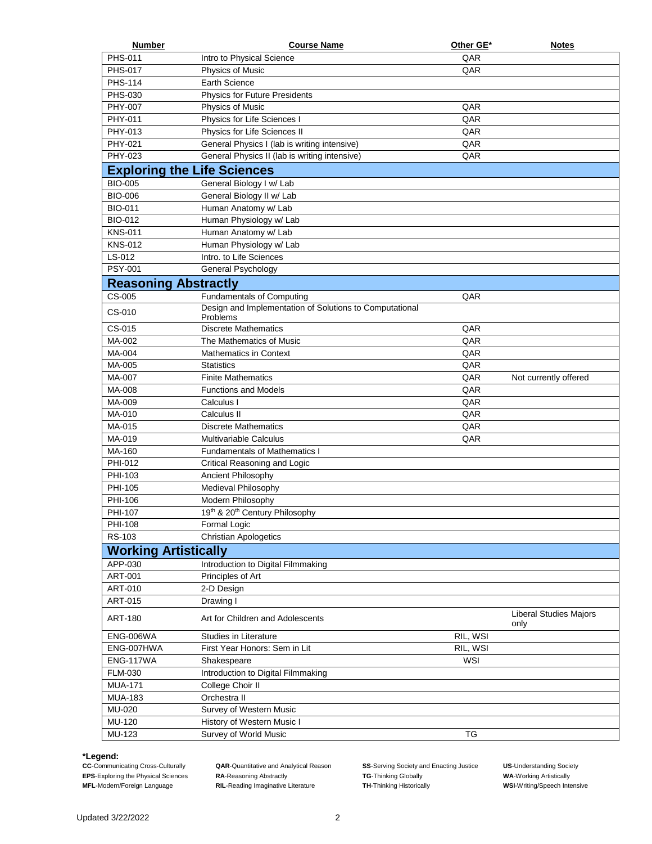| PHS-011<br>QAR<br>Intro to Physical Science<br><b>PHS-017</b><br>QAR<br>Physics of Music<br><b>PHS-114</b><br><b>Earth Science</b><br>PHS-030<br><b>Physics for Future Presidents</b><br>PHY-007<br>QAR<br>Physics of Music<br>PHY-011<br>Physics for Life Sciences I<br>QAR<br>PHY-013<br>Physics for Life Sciences II<br>QAR<br>PHY-021<br>General Physics I (lab is writing intensive)<br>QAR<br>PHY-023<br>General Physics II (lab is writing intensive)<br>QAR<br><b>Exploring the Life Sciences</b><br><b>BIO-005</b><br>General Biology I w/ Lab<br><b>BIO-006</b><br>General Biology II w/ Lab<br><b>BIO-011</b><br>Human Anatomy w/ Lab<br><b>BIO-012</b><br>Human Physiology w/ Lab<br>Human Anatomy w/ Lab<br><b>KNS-011</b><br><b>KNS-012</b><br>Human Physiology w/ Lab<br>LS-012<br>Intro. to Life Sciences<br>PSY-001<br>General Psychology<br><b>Reasoning Abstractly</b><br>CS-005<br><b>Fundamentals of Computing</b><br>QAR<br>Design and Implementation of Solutions to Computational<br>CS-010<br>Problems<br>CS-015<br><b>Discrete Mathematics</b><br>QAR<br>MA-002<br>QAR<br>The Mathematics of Music<br>QAR<br>MA-004<br><b>Mathematics in Context</b><br>QAR<br>MA-005<br><b>Statistics</b><br>MA-007<br>QAR<br><b>Finite Mathematics</b><br>Not currently offered<br>MA-008<br>QAR<br><b>Functions and Models</b><br>MA-009<br>QAR<br>Calculus I<br>QAR<br>MA-010<br>Calculus II<br>MA-015<br>QAR<br><b>Discrete Mathematics</b><br>MA-019<br>QAR<br><b>Multivariable Calculus</b><br>MA-160<br><b>Fundamentals of Mathematics I</b><br>PHI-012<br>Critical Reasoning and Logic<br>PHI-103<br>Ancient Philosophy<br>PHI-105<br>Medieval Philosophy<br>PHI-106<br>Modern Philosophy<br>PHI-107<br>19th & 20th Century Philosophy<br>PHI-108<br>Formal Logic<br>RS-103<br><b>Christian Apologetics</b><br><b>Working Artistically</b><br>APP-030<br>Introduction to Digital Filmmaking<br>Principles of Art<br>ART-001<br>ART-010<br>2-D Design<br>ART-015<br>Drawing I<br>Liberal Studies Majors<br><b>ART-180</b><br>Art for Children and Adolescents<br>only<br>ENG-006WA<br>Studies in Literature<br>RIL, WSI<br>First Year Honors: Sem in Lit<br>ENG-007HWA<br>RIL, WSI<br><b>ENG-117WA</b><br>Shakespeare<br>WSI<br>Introduction to Digital Filmmaking<br><b>FLM-030</b><br>College Choir II<br><b>MUA-171</b><br><b>MUA-183</b><br>Orchestra II<br>MU-020<br>Survey of Western Music<br>MU-120<br>History of Western Music I<br>MU-123<br>Survey of World Music<br>ТG | <b>Number</b> | <b>Course Name</b> | Other GE* | <b>Notes</b> |
|------------------------------------------------------------------------------------------------------------------------------------------------------------------------------------------------------------------------------------------------------------------------------------------------------------------------------------------------------------------------------------------------------------------------------------------------------------------------------------------------------------------------------------------------------------------------------------------------------------------------------------------------------------------------------------------------------------------------------------------------------------------------------------------------------------------------------------------------------------------------------------------------------------------------------------------------------------------------------------------------------------------------------------------------------------------------------------------------------------------------------------------------------------------------------------------------------------------------------------------------------------------------------------------------------------------------------------------------------------------------------------------------------------------------------------------------------------------------------------------------------------------------------------------------------------------------------------------------------------------------------------------------------------------------------------------------------------------------------------------------------------------------------------------------------------------------------------------------------------------------------------------------------------------------------------------------------------------------------------------------------------------------------------------------------------------------------------------------------------------------------------------------------------------------------------------------------------------------------------------------------------------------------------------------------------------------------------------------------------------------------------------------------------------------------------------------------------------------------------------------------|---------------|--------------------|-----------|--------------|
|                                                                                                                                                                                                                                                                                                                                                                                                                                                                                                                                                                                                                                                                                                                                                                                                                                                                                                                                                                                                                                                                                                                                                                                                                                                                                                                                                                                                                                                                                                                                                                                                                                                                                                                                                                                                                                                                                                                                                                                                                                                                                                                                                                                                                                                                                                                                                                                                                                                                                                      |               |                    |           |              |
|                                                                                                                                                                                                                                                                                                                                                                                                                                                                                                                                                                                                                                                                                                                                                                                                                                                                                                                                                                                                                                                                                                                                                                                                                                                                                                                                                                                                                                                                                                                                                                                                                                                                                                                                                                                                                                                                                                                                                                                                                                                                                                                                                                                                                                                                                                                                                                                                                                                                                                      |               |                    |           |              |
|                                                                                                                                                                                                                                                                                                                                                                                                                                                                                                                                                                                                                                                                                                                                                                                                                                                                                                                                                                                                                                                                                                                                                                                                                                                                                                                                                                                                                                                                                                                                                                                                                                                                                                                                                                                                                                                                                                                                                                                                                                                                                                                                                                                                                                                                                                                                                                                                                                                                                                      |               |                    |           |              |
|                                                                                                                                                                                                                                                                                                                                                                                                                                                                                                                                                                                                                                                                                                                                                                                                                                                                                                                                                                                                                                                                                                                                                                                                                                                                                                                                                                                                                                                                                                                                                                                                                                                                                                                                                                                                                                                                                                                                                                                                                                                                                                                                                                                                                                                                                                                                                                                                                                                                                                      |               |                    |           |              |
|                                                                                                                                                                                                                                                                                                                                                                                                                                                                                                                                                                                                                                                                                                                                                                                                                                                                                                                                                                                                                                                                                                                                                                                                                                                                                                                                                                                                                                                                                                                                                                                                                                                                                                                                                                                                                                                                                                                                                                                                                                                                                                                                                                                                                                                                                                                                                                                                                                                                                                      |               |                    |           |              |
|                                                                                                                                                                                                                                                                                                                                                                                                                                                                                                                                                                                                                                                                                                                                                                                                                                                                                                                                                                                                                                                                                                                                                                                                                                                                                                                                                                                                                                                                                                                                                                                                                                                                                                                                                                                                                                                                                                                                                                                                                                                                                                                                                                                                                                                                                                                                                                                                                                                                                                      |               |                    |           |              |
|                                                                                                                                                                                                                                                                                                                                                                                                                                                                                                                                                                                                                                                                                                                                                                                                                                                                                                                                                                                                                                                                                                                                                                                                                                                                                                                                                                                                                                                                                                                                                                                                                                                                                                                                                                                                                                                                                                                                                                                                                                                                                                                                                                                                                                                                                                                                                                                                                                                                                                      |               |                    |           |              |
|                                                                                                                                                                                                                                                                                                                                                                                                                                                                                                                                                                                                                                                                                                                                                                                                                                                                                                                                                                                                                                                                                                                                                                                                                                                                                                                                                                                                                                                                                                                                                                                                                                                                                                                                                                                                                                                                                                                                                                                                                                                                                                                                                                                                                                                                                                                                                                                                                                                                                                      |               |                    |           |              |
|                                                                                                                                                                                                                                                                                                                                                                                                                                                                                                                                                                                                                                                                                                                                                                                                                                                                                                                                                                                                                                                                                                                                                                                                                                                                                                                                                                                                                                                                                                                                                                                                                                                                                                                                                                                                                                                                                                                                                                                                                                                                                                                                                                                                                                                                                                                                                                                                                                                                                                      |               |                    |           |              |
|                                                                                                                                                                                                                                                                                                                                                                                                                                                                                                                                                                                                                                                                                                                                                                                                                                                                                                                                                                                                                                                                                                                                                                                                                                                                                                                                                                                                                                                                                                                                                                                                                                                                                                                                                                                                                                                                                                                                                                                                                                                                                                                                                                                                                                                                                                                                                                                                                                                                                                      |               |                    |           |              |
|                                                                                                                                                                                                                                                                                                                                                                                                                                                                                                                                                                                                                                                                                                                                                                                                                                                                                                                                                                                                                                                                                                                                                                                                                                                                                                                                                                                                                                                                                                                                                                                                                                                                                                                                                                                                                                                                                                                                                                                                                                                                                                                                                                                                                                                                                                                                                                                                                                                                                                      |               |                    |           |              |
|                                                                                                                                                                                                                                                                                                                                                                                                                                                                                                                                                                                                                                                                                                                                                                                                                                                                                                                                                                                                                                                                                                                                                                                                                                                                                                                                                                                                                                                                                                                                                                                                                                                                                                                                                                                                                                                                                                                                                                                                                                                                                                                                                                                                                                                                                                                                                                                                                                                                                                      |               |                    |           |              |
|                                                                                                                                                                                                                                                                                                                                                                                                                                                                                                                                                                                                                                                                                                                                                                                                                                                                                                                                                                                                                                                                                                                                                                                                                                                                                                                                                                                                                                                                                                                                                                                                                                                                                                                                                                                                                                                                                                                                                                                                                                                                                                                                                                                                                                                                                                                                                                                                                                                                                                      |               |                    |           |              |
|                                                                                                                                                                                                                                                                                                                                                                                                                                                                                                                                                                                                                                                                                                                                                                                                                                                                                                                                                                                                                                                                                                                                                                                                                                                                                                                                                                                                                                                                                                                                                                                                                                                                                                                                                                                                                                                                                                                                                                                                                                                                                                                                                                                                                                                                                                                                                                                                                                                                                                      |               |                    |           |              |
|                                                                                                                                                                                                                                                                                                                                                                                                                                                                                                                                                                                                                                                                                                                                                                                                                                                                                                                                                                                                                                                                                                                                                                                                                                                                                                                                                                                                                                                                                                                                                                                                                                                                                                                                                                                                                                                                                                                                                                                                                                                                                                                                                                                                                                                                                                                                                                                                                                                                                                      |               |                    |           |              |
|                                                                                                                                                                                                                                                                                                                                                                                                                                                                                                                                                                                                                                                                                                                                                                                                                                                                                                                                                                                                                                                                                                                                                                                                                                                                                                                                                                                                                                                                                                                                                                                                                                                                                                                                                                                                                                                                                                                                                                                                                                                                                                                                                                                                                                                                                                                                                                                                                                                                                                      |               |                    |           |              |
|                                                                                                                                                                                                                                                                                                                                                                                                                                                                                                                                                                                                                                                                                                                                                                                                                                                                                                                                                                                                                                                                                                                                                                                                                                                                                                                                                                                                                                                                                                                                                                                                                                                                                                                                                                                                                                                                                                                                                                                                                                                                                                                                                                                                                                                                                                                                                                                                                                                                                                      |               |                    |           |              |
|                                                                                                                                                                                                                                                                                                                                                                                                                                                                                                                                                                                                                                                                                                                                                                                                                                                                                                                                                                                                                                                                                                                                                                                                                                                                                                                                                                                                                                                                                                                                                                                                                                                                                                                                                                                                                                                                                                                                                                                                                                                                                                                                                                                                                                                                                                                                                                                                                                                                                                      |               |                    |           |              |
|                                                                                                                                                                                                                                                                                                                                                                                                                                                                                                                                                                                                                                                                                                                                                                                                                                                                                                                                                                                                                                                                                                                                                                                                                                                                                                                                                                                                                                                                                                                                                                                                                                                                                                                                                                                                                                                                                                                                                                                                                                                                                                                                                                                                                                                                                                                                                                                                                                                                                                      |               |                    |           |              |
|                                                                                                                                                                                                                                                                                                                                                                                                                                                                                                                                                                                                                                                                                                                                                                                                                                                                                                                                                                                                                                                                                                                                                                                                                                                                                                                                                                                                                                                                                                                                                                                                                                                                                                                                                                                                                                                                                                                                                                                                                                                                                                                                                                                                                                                                                                                                                                                                                                                                                                      |               |                    |           |              |
|                                                                                                                                                                                                                                                                                                                                                                                                                                                                                                                                                                                                                                                                                                                                                                                                                                                                                                                                                                                                                                                                                                                                                                                                                                                                                                                                                                                                                                                                                                                                                                                                                                                                                                                                                                                                                                                                                                                                                                                                                                                                                                                                                                                                                                                                                                                                                                                                                                                                                                      |               |                    |           |              |
|                                                                                                                                                                                                                                                                                                                                                                                                                                                                                                                                                                                                                                                                                                                                                                                                                                                                                                                                                                                                                                                                                                                                                                                                                                                                                                                                                                                                                                                                                                                                                                                                                                                                                                                                                                                                                                                                                                                                                                                                                                                                                                                                                                                                                                                                                                                                                                                                                                                                                                      |               |                    |           |              |
|                                                                                                                                                                                                                                                                                                                                                                                                                                                                                                                                                                                                                                                                                                                                                                                                                                                                                                                                                                                                                                                                                                                                                                                                                                                                                                                                                                                                                                                                                                                                                                                                                                                                                                                                                                                                                                                                                                                                                                                                                                                                                                                                                                                                                                                                                                                                                                                                                                                                                                      |               |                    |           |              |
|                                                                                                                                                                                                                                                                                                                                                                                                                                                                                                                                                                                                                                                                                                                                                                                                                                                                                                                                                                                                                                                                                                                                                                                                                                                                                                                                                                                                                                                                                                                                                                                                                                                                                                                                                                                                                                                                                                                                                                                                                                                                                                                                                                                                                                                                                                                                                                                                                                                                                                      |               |                    |           |              |
|                                                                                                                                                                                                                                                                                                                                                                                                                                                                                                                                                                                                                                                                                                                                                                                                                                                                                                                                                                                                                                                                                                                                                                                                                                                                                                                                                                                                                                                                                                                                                                                                                                                                                                                                                                                                                                                                                                                                                                                                                                                                                                                                                                                                                                                                                                                                                                                                                                                                                                      |               |                    |           |              |
|                                                                                                                                                                                                                                                                                                                                                                                                                                                                                                                                                                                                                                                                                                                                                                                                                                                                                                                                                                                                                                                                                                                                                                                                                                                                                                                                                                                                                                                                                                                                                                                                                                                                                                                                                                                                                                                                                                                                                                                                                                                                                                                                                                                                                                                                                                                                                                                                                                                                                                      |               |                    |           |              |
|                                                                                                                                                                                                                                                                                                                                                                                                                                                                                                                                                                                                                                                                                                                                                                                                                                                                                                                                                                                                                                                                                                                                                                                                                                                                                                                                                                                                                                                                                                                                                                                                                                                                                                                                                                                                                                                                                                                                                                                                                                                                                                                                                                                                                                                                                                                                                                                                                                                                                                      |               |                    |           |              |
|                                                                                                                                                                                                                                                                                                                                                                                                                                                                                                                                                                                                                                                                                                                                                                                                                                                                                                                                                                                                                                                                                                                                                                                                                                                                                                                                                                                                                                                                                                                                                                                                                                                                                                                                                                                                                                                                                                                                                                                                                                                                                                                                                                                                                                                                                                                                                                                                                                                                                                      |               |                    |           |              |
|                                                                                                                                                                                                                                                                                                                                                                                                                                                                                                                                                                                                                                                                                                                                                                                                                                                                                                                                                                                                                                                                                                                                                                                                                                                                                                                                                                                                                                                                                                                                                                                                                                                                                                                                                                                                                                                                                                                                                                                                                                                                                                                                                                                                                                                                                                                                                                                                                                                                                                      |               |                    |           |              |
|                                                                                                                                                                                                                                                                                                                                                                                                                                                                                                                                                                                                                                                                                                                                                                                                                                                                                                                                                                                                                                                                                                                                                                                                                                                                                                                                                                                                                                                                                                                                                                                                                                                                                                                                                                                                                                                                                                                                                                                                                                                                                                                                                                                                                                                                                                                                                                                                                                                                                                      |               |                    |           |              |
|                                                                                                                                                                                                                                                                                                                                                                                                                                                                                                                                                                                                                                                                                                                                                                                                                                                                                                                                                                                                                                                                                                                                                                                                                                                                                                                                                                                                                                                                                                                                                                                                                                                                                                                                                                                                                                                                                                                                                                                                                                                                                                                                                                                                                                                                                                                                                                                                                                                                                                      |               |                    |           |              |
|                                                                                                                                                                                                                                                                                                                                                                                                                                                                                                                                                                                                                                                                                                                                                                                                                                                                                                                                                                                                                                                                                                                                                                                                                                                                                                                                                                                                                                                                                                                                                                                                                                                                                                                                                                                                                                                                                                                                                                                                                                                                                                                                                                                                                                                                                                                                                                                                                                                                                                      |               |                    |           |              |
|                                                                                                                                                                                                                                                                                                                                                                                                                                                                                                                                                                                                                                                                                                                                                                                                                                                                                                                                                                                                                                                                                                                                                                                                                                                                                                                                                                                                                                                                                                                                                                                                                                                                                                                                                                                                                                                                                                                                                                                                                                                                                                                                                                                                                                                                                                                                                                                                                                                                                                      |               |                    |           |              |
|                                                                                                                                                                                                                                                                                                                                                                                                                                                                                                                                                                                                                                                                                                                                                                                                                                                                                                                                                                                                                                                                                                                                                                                                                                                                                                                                                                                                                                                                                                                                                                                                                                                                                                                                                                                                                                                                                                                                                                                                                                                                                                                                                                                                                                                                                                                                                                                                                                                                                                      |               |                    |           |              |
|                                                                                                                                                                                                                                                                                                                                                                                                                                                                                                                                                                                                                                                                                                                                                                                                                                                                                                                                                                                                                                                                                                                                                                                                                                                                                                                                                                                                                                                                                                                                                                                                                                                                                                                                                                                                                                                                                                                                                                                                                                                                                                                                                                                                                                                                                                                                                                                                                                                                                                      |               |                    |           |              |
|                                                                                                                                                                                                                                                                                                                                                                                                                                                                                                                                                                                                                                                                                                                                                                                                                                                                                                                                                                                                                                                                                                                                                                                                                                                                                                                                                                                                                                                                                                                                                                                                                                                                                                                                                                                                                                                                                                                                                                                                                                                                                                                                                                                                                                                                                                                                                                                                                                                                                                      |               |                    |           |              |
|                                                                                                                                                                                                                                                                                                                                                                                                                                                                                                                                                                                                                                                                                                                                                                                                                                                                                                                                                                                                                                                                                                                                                                                                                                                                                                                                                                                                                                                                                                                                                                                                                                                                                                                                                                                                                                                                                                                                                                                                                                                                                                                                                                                                                                                                                                                                                                                                                                                                                                      |               |                    |           |              |
|                                                                                                                                                                                                                                                                                                                                                                                                                                                                                                                                                                                                                                                                                                                                                                                                                                                                                                                                                                                                                                                                                                                                                                                                                                                                                                                                                                                                                                                                                                                                                                                                                                                                                                                                                                                                                                                                                                                                                                                                                                                                                                                                                                                                                                                                                                                                                                                                                                                                                                      |               |                    |           |              |
|                                                                                                                                                                                                                                                                                                                                                                                                                                                                                                                                                                                                                                                                                                                                                                                                                                                                                                                                                                                                                                                                                                                                                                                                                                                                                                                                                                                                                                                                                                                                                                                                                                                                                                                                                                                                                                                                                                                                                                                                                                                                                                                                                                                                                                                                                                                                                                                                                                                                                                      |               |                    |           |              |
|                                                                                                                                                                                                                                                                                                                                                                                                                                                                                                                                                                                                                                                                                                                                                                                                                                                                                                                                                                                                                                                                                                                                                                                                                                                                                                                                                                                                                                                                                                                                                                                                                                                                                                                                                                                                                                                                                                                                                                                                                                                                                                                                                                                                                                                                                                                                                                                                                                                                                                      |               |                    |           |              |
|                                                                                                                                                                                                                                                                                                                                                                                                                                                                                                                                                                                                                                                                                                                                                                                                                                                                                                                                                                                                                                                                                                                                                                                                                                                                                                                                                                                                                                                                                                                                                                                                                                                                                                                                                                                                                                                                                                                                                                                                                                                                                                                                                                                                                                                                                                                                                                                                                                                                                                      |               |                    |           |              |
|                                                                                                                                                                                                                                                                                                                                                                                                                                                                                                                                                                                                                                                                                                                                                                                                                                                                                                                                                                                                                                                                                                                                                                                                                                                                                                                                                                                                                                                                                                                                                                                                                                                                                                                                                                                                                                                                                                                                                                                                                                                                                                                                                                                                                                                                                                                                                                                                                                                                                                      |               |                    |           |              |
|                                                                                                                                                                                                                                                                                                                                                                                                                                                                                                                                                                                                                                                                                                                                                                                                                                                                                                                                                                                                                                                                                                                                                                                                                                                                                                                                                                                                                                                                                                                                                                                                                                                                                                                                                                                                                                                                                                                                                                                                                                                                                                                                                                                                                                                                                                                                                                                                                                                                                                      |               |                    |           |              |
|                                                                                                                                                                                                                                                                                                                                                                                                                                                                                                                                                                                                                                                                                                                                                                                                                                                                                                                                                                                                                                                                                                                                                                                                                                                                                                                                                                                                                                                                                                                                                                                                                                                                                                                                                                                                                                                                                                                                                                                                                                                                                                                                                                                                                                                                                                                                                                                                                                                                                                      |               |                    |           |              |
|                                                                                                                                                                                                                                                                                                                                                                                                                                                                                                                                                                                                                                                                                                                                                                                                                                                                                                                                                                                                                                                                                                                                                                                                                                                                                                                                                                                                                                                                                                                                                                                                                                                                                                                                                                                                                                                                                                                                                                                                                                                                                                                                                                                                                                                                                                                                                                                                                                                                                                      |               |                    |           |              |
|                                                                                                                                                                                                                                                                                                                                                                                                                                                                                                                                                                                                                                                                                                                                                                                                                                                                                                                                                                                                                                                                                                                                                                                                                                                                                                                                                                                                                                                                                                                                                                                                                                                                                                                                                                                                                                                                                                                                                                                                                                                                                                                                                                                                                                                                                                                                                                                                                                                                                                      |               |                    |           |              |
|                                                                                                                                                                                                                                                                                                                                                                                                                                                                                                                                                                                                                                                                                                                                                                                                                                                                                                                                                                                                                                                                                                                                                                                                                                                                                                                                                                                                                                                                                                                                                                                                                                                                                                                                                                                                                                                                                                                                                                                                                                                                                                                                                                                                                                                                                                                                                                                                                                                                                                      |               |                    |           |              |
|                                                                                                                                                                                                                                                                                                                                                                                                                                                                                                                                                                                                                                                                                                                                                                                                                                                                                                                                                                                                                                                                                                                                                                                                                                                                                                                                                                                                                                                                                                                                                                                                                                                                                                                                                                                                                                                                                                                                                                                                                                                                                                                                                                                                                                                                                                                                                                                                                                                                                                      |               |                    |           |              |
|                                                                                                                                                                                                                                                                                                                                                                                                                                                                                                                                                                                                                                                                                                                                                                                                                                                                                                                                                                                                                                                                                                                                                                                                                                                                                                                                                                                                                                                                                                                                                                                                                                                                                                                                                                                                                                                                                                                                                                                                                                                                                                                                                                                                                                                                                                                                                                                                                                                                                                      |               |                    |           |              |
|                                                                                                                                                                                                                                                                                                                                                                                                                                                                                                                                                                                                                                                                                                                                                                                                                                                                                                                                                                                                                                                                                                                                                                                                                                                                                                                                                                                                                                                                                                                                                                                                                                                                                                                                                                                                                                                                                                                                                                                                                                                                                                                                                                                                                                                                                                                                                                                                                                                                                                      |               |                    |           |              |
|                                                                                                                                                                                                                                                                                                                                                                                                                                                                                                                                                                                                                                                                                                                                                                                                                                                                                                                                                                                                                                                                                                                                                                                                                                                                                                                                                                                                                                                                                                                                                                                                                                                                                                                                                                                                                                                                                                                                                                                                                                                                                                                                                                                                                                                                                                                                                                                                                                                                                                      |               |                    |           |              |
|                                                                                                                                                                                                                                                                                                                                                                                                                                                                                                                                                                                                                                                                                                                                                                                                                                                                                                                                                                                                                                                                                                                                                                                                                                                                                                                                                                                                                                                                                                                                                                                                                                                                                                                                                                                                                                                                                                                                                                                                                                                                                                                                                                                                                                                                                                                                                                                                                                                                                                      |               |                    |           |              |
|                                                                                                                                                                                                                                                                                                                                                                                                                                                                                                                                                                                                                                                                                                                                                                                                                                                                                                                                                                                                                                                                                                                                                                                                                                                                                                                                                                                                                                                                                                                                                                                                                                                                                                                                                                                                                                                                                                                                                                                                                                                                                                                                                                                                                                                                                                                                                                                                                                                                                                      |               |                    |           |              |
|                                                                                                                                                                                                                                                                                                                                                                                                                                                                                                                                                                                                                                                                                                                                                                                                                                                                                                                                                                                                                                                                                                                                                                                                                                                                                                                                                                                                                                                                                                                                                                                                                                                                                                                                                                                                                                                                                                                                                                                                                                                                                                                                                                                                                                                                                                                                                                                                                                                                                                      |               |                    |           |              |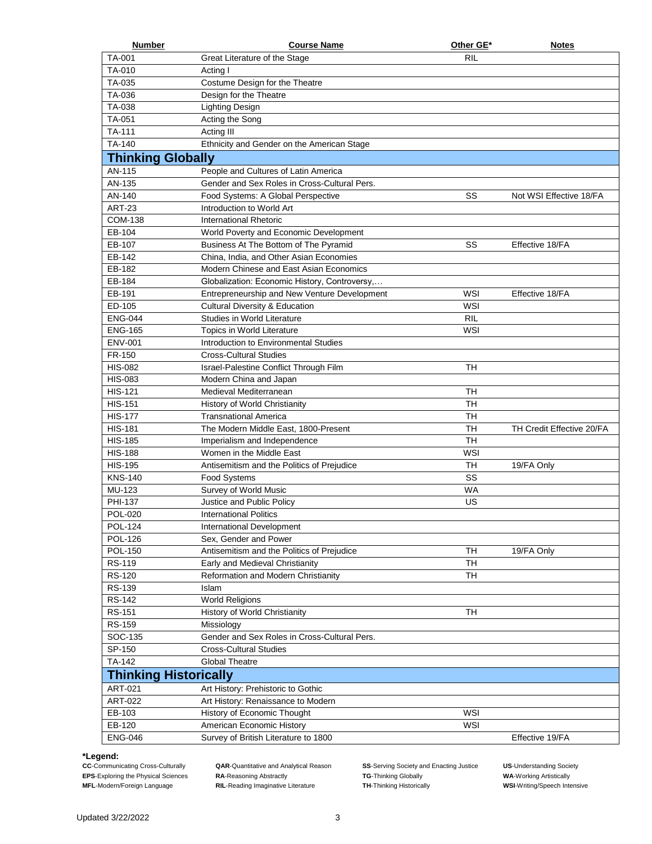| <b>Number</b>                | <b>Course Name</b>                            | Other GE*  | <b>Notes</b>              |
|------------------------------|-----------------------------------------------|------------|---------------------------|
| TA-001                       | Great Literature of the Stage                 | RIL        |                           |
| TA-010                       | Acting I                                      |            |                           |
| TA-035                       | Costume Design for the Theatre                |            |                           |
| TA-036                       | Design for the Theatre                        |            |                           |
| TA-038                       | <b>Lighting Design</b>                        |            |                           |
| TA-051                       | Acting the Song                               |            |                           |
| TA-111                       | Acting III                                    |            |                           |
| TA-140                       | Ethnicity and Gender on the American Stage    |            |                           |
| <b>Thinking Globally</b>     |                                               |            |                           |
| AN-115                       | People and Cultures of Latin America          |            |                           |
| AN-135                       | Gender and Sex Roles in Cross-Cultural Pers.  |            |                           |
| AN-140                       | Food Systems: A Global Perspective            | SS         | Not WSI Effective 18/FA   |
| <b>ART-23</b>                | Introduction to World Art                     |            |                           |
| <b>COM-138</b>               | International Rhetoric                        |            |                           |
| EB-104                       | World Poverty and Economic Development        |            |                           |
| EB-107                       | Business At The Bottom of The Pyramid         | SS         | Effective 18/FA           |
| EB-142                       | China, India, and Other Asian Economies       |            |                           |
| EB-182                       | Modern Chinese and East Asian Economics       |            |                           |
| EB-184                       | Globalization: Economic History, Controversy, |            |                           |
| EB-191                       | Entrepreneurship and New Venture Development  | <b>WSI</b> | Effective 18/FA           |
| ED-105                       | <b>Cultural Diversity &amp; Education</b>     | WSI        |                           |
| <b>ENG-044</b>               | Studies in World Literature                   | <b>RIL</b> |                           |
| <b>ENG-165</b>               | Topics in World Literature                    | <b>WSI</b> |                           |
| <b>ENV-001</b>               | Introduction to Environmental Studies         |            |                           |
| FR-150                       | <b>Cross-Cultural Studies</b>                 |            |                           |
| <b>HIS-082</b>               | Israel-Palestine Conflict Through Film        | <b>TH</b>  |                           |
| <b>HIS-083</b>               | Modern China and Japan                        |            |                           |
| <b>HIS-121</b>               | Medieval Mediterranean                        | <b>TH</b>  |                           |
| <b>HIS-151</b>               | History of World Christianity                 | <b>TH</b>  |                           |
| <b>HIS-177</b>               | <b>Transnational America</b>                  | <b>TH</b>  |                           |
| <b>HIS-181</b>               | The Modern Middle East, 1800-Present          | <b>TH</b>  | TH Credit Effective 20/FA |
| <b>HIS-185</b>               | Imperialism and Independence                  | <b>TH</b>  |                           |
| <b>HIS-188</b>               | Women in the Middle East                      | WSI        |                           |
| <b>HIS-195</b>               | Antisemitism and the Politics of Prejudice    | <b>TH</b>  | 19/FA Only                |
| <b>KNS-140</b>               | <b>Food Systems</b>                           | SS         |                           |
| MU-123                       | Survey of World Music                         | <b>WA</b>  |                           |
| PHI-137                      | Justice and Public Policy                     | US         |                           |
| POL-020                      | <b>International Politics</b>                 |            |                           |
| <b>POL-124</b>               | International Development                     |            |                           |
| <b>POL-126</b>               | Sex, Gender and Power                         |            |                           |
| POL-150                      | Antisemitism and the Politics of Prejudice    | <b>TH</b>  | 19/FA Only                |
| RS-119                       | Early and Medieval Christianity               | <b>TH</b>  |                           |
| <b>RS-120</b>                | Reformation and Modern Christianity           | <b>TH</b>  |                           |
| RS-139                       | Islam                                         |            |                           |
| <b>RS-142</b>                | <b>World Religions</b>                        |            |                           |
| <b>RS-151</b>                | History of World Christianity                 | TН         |                           |
| <b>RS-159</b>                | Missiology                                    |            |                           |
| SOC-135                      | Gender and Sex Roles in Cross-Cultural Pers.  |            |                           |
| SP-150                       | <b>Cross-Cultural Studies</b>                 |            |                           |
| TA-142                       | <b>Global Theatre</b>                         |            |                           |
| <b>Thinking Historically</b> |                                               |            |                           |
| ART-021                      | Art History: Prehistoric to Gothic            |            |                           |
| ART-022                      | Art History: Renaissance to Modern            |            |                           |
| EB-103                       | History of Economic Thought                   | WSI        |                           |
| EB-120                       | American Economic History                     | WSI        |                           |
| <b>ENG-046</b>               | Survey of British Literature to 1800          |            | Effective 19/FA           |
|                              |                                               |            |                           |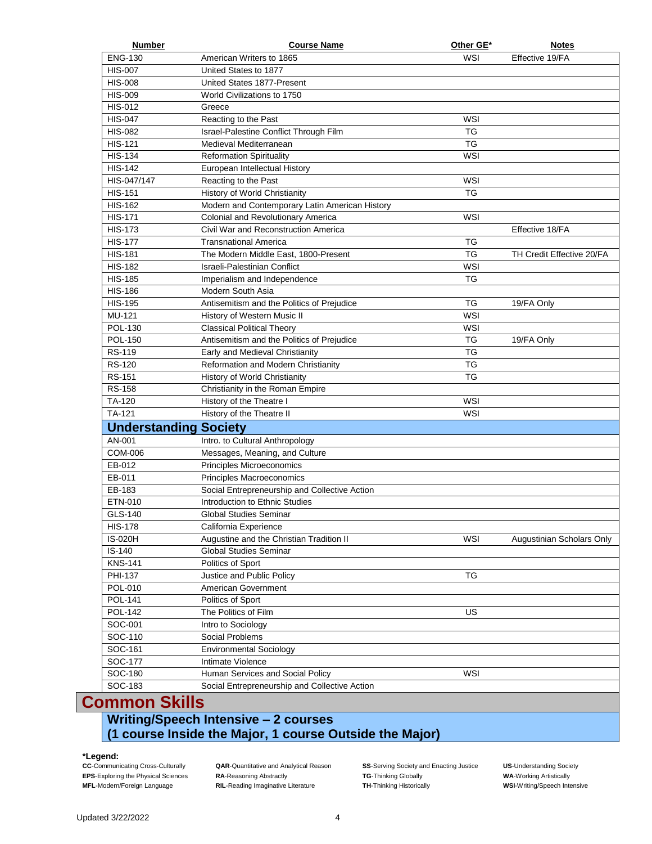| <b>Number</b>                | <b>Course Name</b>                             | Other GE*  | <b>Notes</b>              |
|------------------------------|------------------------------------------------|------------|---------------------------|
| <b>ENG-130</b>               | American Writers to 1865                       | WSI        | Effective 19/FA           |
| <b>HIS-007</b>               | United States to 1877                          |            |                           |
| <b>HIS-008</b>               | United States 1877-Present                     |            |                           |
| <b>HIS-009</b>               | World Civilizations to 1750                    |            |                           |
| <b>HIS-012</b>               | Greece                                         |            |                           |
| <b>HIS-047</b>               | Reacting to the Past                           | WSI        |                           |
| <b>HIS-082</b>               | Israel-Palestine Conflict Through Film         | TG         |                           |
| <b>HIS-121</b>               | Medieval Mediterranean                         | TG         |                           |
| <b>HIS-134</b>               | <b>Reformation Spirituality</b>                | WSI        |                           |
| <b>HIS-142</b>               | European Intellectual History                  |            |                           |
| HIS-047/147                  | Reacting to the Past                           | WSI        |                           |
| <b>HIS-151</b>               | History of World Christianity                  | <b>TG</b>  |                           |
| <b>HIS-162</b>               | Modern and Contemporary Latin American History |            |                           |
| <b>HIS-171</b>               | <b>Colonial and Revolutionary America</b>      | WSI        |                           |
| <b>HIS-173</b>               | Civil War and Reconstruction America           |            | Effective 18/FA           |
| <b>HIS-177</b>               | <b>Transnational America</b>                   | TG         |                           |
| <b>HIS-181</b>               | The Modern Middle East, 1800-Present           | TG         | TH Credit Effective 20/FA |
| <b>HIS-182</b>               | Israeli-Palestinian Conflict                   | WSI        |                           |
| <b>HIS-185</b>               | Imperialism and Independence                   | TG         |                           |
| <b>HIS-186</b>               | Modern South Asia                              |            |                           |
| <b>HIS-195</b>               | Antisemitism and the Politics of Prejudice     | TG         | 19/FA Only                |
| MU-121                       | History of Western Music II                    | WSI        |                           |
| POL-130                      | <b>Classical Political Theory</b>              | WSI        |                           |
| POL-150                      | Antisemitism and the Politics of Prejudice     | TG         | 19/FA Only                |
| RS-119                       | Early and Medieval Christianity                | <b>TG</b>  |                           |
| RS-120                       | Reformation and Modern Christianity            | TG         |                           |
| <b>RS-151</b>                | History of World Christianity                  | ТG         |                           |
| <b>RS-158</b>                | Christianity in the Roman Empire               |            |                           |
| TA-120                       | History of the Theatre I                       | <b>WSI</b> |                           |
| TA-121                       | History of the Theatre II                      | WSI        |                           |
|                              |                                                |            |                           |
| <b>Understanding Society</b> |                                                |            |                           |
| AN-001                       | Intro. to Cultural Anthropology                |            |                           |
| <b>COM-006</b>               | Messages, Meaning, and Culture                 |            |                           |
| EB-012                       | Principles Microeconomics                      |            |                           |
| EB-011                       | Principles Macroeconomics                      |            |                           |
| EB-183                       | Social Entrepreneurship and Collective Action  |            |                           |
| ETN-010                      | Introduction to Ethnic Studies                 |            |                           |
| GLS-140                      | Global Studies Seminar                         |            |                           |
| <b>HIS-178</b>               | California Experience                          |            |                           |
| <b>IS-020H</b>               | Augustine and the Christian Tradition II       | WSI        | Augustinian Scholars Only |
| $IS-140$                     | <b>Global Studies Seminar</b>                  |            |                           |
| <b>KNS-141</b>               | Politics of Sport                              |            |                           |
| PHI-137                      | Justice and Public Policy                      | ТG         |                           |
| POL-010                      | American Government                            |            |                           |
| <b>POL-141</b>               | Politics of Sport                              |            |                           |
| <b>POL-142</b>               | The Politics of Film                           | US         |                           |
|                              | Intro to Sociology                             |            |                           |
| SOC-001                      |                                                |            |                           |
| SOC-110                      | Social Problems                                |            |                           |
| SOC-161                      | <b>Environmental Sociology</b>                 |            |                           |
| SOC-177                      | Intimate Violence                              |            |                           |
| SOC-180                      | Human Services and Social Policy               | WSI        |                           |

## **Writing/Speech Intensive – 2 courses (1 course Inside the Major, 1 course Outside the Major)**

**\*Legend:**

**CAR-Quantitative and Analytical Reason <b>SS-Serving Society and Enacting Justice US-Understanding Society EPS-Exploring the Physical Sciences RA-Reasoning Abstractly TG-Thinking Globally <b>WA-Working American WA-Working Artistically MFL-Modern/Foreign Language <b>RIL**-Reading Imaginative Literature **TH-Thinking Historica RIL-Reading Imaginative Literature**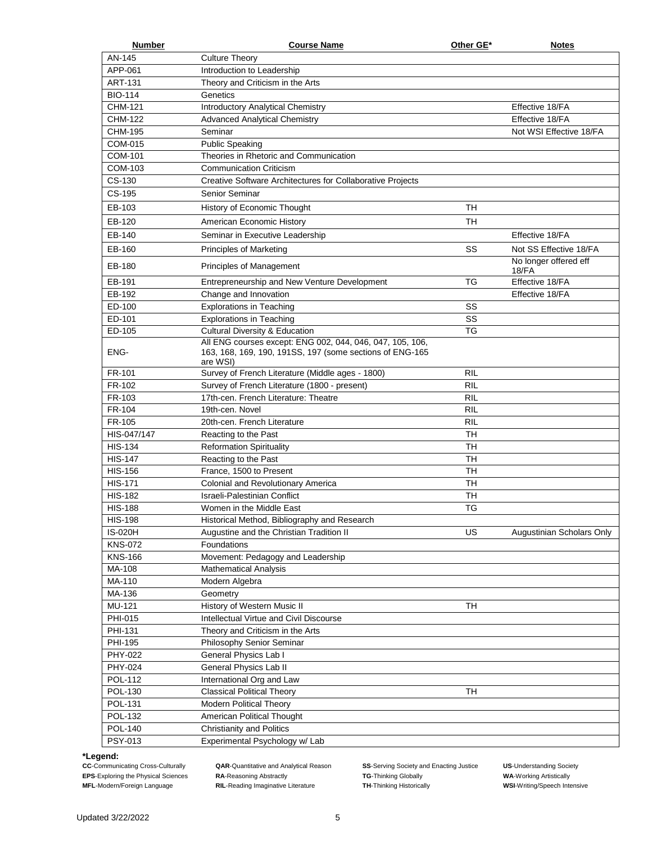| <b>Number</b>  | <b>Course Name</b>                                                                                                                | Other GE*  | <b>Notes</b>                   |
|----------------|-----------------------------------------------------------------------------------------------------------------------------------|------------|--------------------------------|
| AN-145         | <b>Culture Theory</b>                                                                                                             |            |                                |
| APP-061        | Introduction to Leadership                                                                                                        |            |                                |
| <b>ART-131</b> | Theory and Criticism in the Arts                                                                                                  |            |                                |
| <b>BIO-114</b> | Genetics                                                                                                                          |            |                                |
| <b>CHM-121</b> | Introductory Analytical Chemistry                                                                                                 |            | Effective 18/FA                |
| <b>CHM-122</b> | <b>Advanced Analytical Chemistry</b>                                                                                              |            | Effective 18/FA                |
| <b>CHM-195</b> | Seminar                                                                                                                           |            | Not WSI Effective 18/FA        |
| <b>COM-015</b> | <b>Public Speaking</b>                                                                                                            |            |                                |
| COM-101        | Theories in Rhetoric and Communication                                                                                            |            |                                |
| COM-103        | <b>Communication Criticism</b>                                                                                                    |            |                                |
| CS-130         | Creative Software Architectures for Collaborative Projects                                                                        |            |                                |
| CS-195         | Senior Seminar                                                                                                                    |            |                                |
| EB-103         | History of Economic Thought                                                                                                       | TН         |                                |
| EB-120         | American Economic History                                                                                                         | <b>TH</b>  |                                |
| EB-140         | Seminar in Executive Leadership                                                                                                   |            | Effective 18/FA                |
|                |                                                                                                                                   |            |                                |
| EB-160         | Principles of Marketing                                                                                                           | SS         | Not SS Effective 18/FA         |
| EB-180         | <b>Principles of Management</b>                                                                                                   |            | No longer offered eff<br>18/FA |
| EB-191         | Entrepreneurship and New Venture Development                                                                                      | <b>TG</b>  | Effective 18/FA                |
| EB-192         | Change and Innovation                                                                                                             |            | Effective 18/FA                |
| ED-100         | <b>Explorations in Teaching</b>                                                                                                   | SS         |                                |
| ED-101         | <b>Explorations in Teaching</b>                                                                                                   | SS         |                                |
| ED-105         | <b>Cultural Diversity &amp; Education</b>                                                                                         | <b>TG</b>  |                                |
| ENG-           | All ENG courses except: ENG 002, 044, 046, 047, 105, 106,<br>163, 168, 169, 190, 191SS, 197 (some sections of ENG-165<br>are WSI) |            |                                |
| FR-101         | Survey of French Literature (Middle ages - 1800)                                                                                  | RIL        |                                |
| FR-102         | Survey of French Literature (1800 - present)                                                                                      | <b>RIL</b> |                                |
| FR-103         | 17th-cen. French Literature: Theatre                                                                                              | <b>RIL</b> |                                |
| FR-104         | 19th-cen. Novel                                                                                                                   | <b>RIL</b> |                                |
| FR-105         | 20th-cen. French Literature                                                                                                       | <b>RIL</b> |                                |
| HIS-047/147    | Reacting to the Past                                                                                                              | <b>TH</b>  |                                |
| <b>HIS-134</b> | <b>Reformation Spirituality</b>                                                                                                   | <b>TH</b>  |                                |
| <b>HIS-147</b> | Reacting to the Past                                                                                                              | <b>TH</b>  |                                |
| <b>HIS-156</b> | France, 1500 to Present                                                                                                           | <b>TH</b>  |                                |
| <b>HIS-171</b> | Colonial and Revolutionary America                                                                                                | <b>TH</b>  |                                |
| <b>HIS-182</b> | Israeli-Palestinian Conflict                                                                                                      | <b>TH</b>  |                                |
| <b>HIS-188</b> | Women in the Middle East                                                                                                          | ТG         |                                |
| <b>HIS-198</b> | Historical Method, Bibliography and Research                                                                                      |            |                                |
| <b>IS-020H</b> | Augustine and the Christian Tradition II                                                                                          | US         | Augustinian Scholars Only      |
| <b>KNS-072</b> | Foundations                                                                                                                       |            |                                |
| <b>KNS-166</b> | Movement: Pedagogy and Leadership                                                                                                 |            |                                |
| MA-108         | <b>Mathematical Analysis</b>                                                                                                      |            |                                |
| MA-110         | Modern Algebra                                                                                                                    |            |                                |
| MA-136         | Geometry                                                                                                                          |            |                                |
| MU-121         | History of Western Music II                                                                                                       | <b>TH</b>  |                                |
| PHI-015        | Intellectual Virtue and Civil Discourse                                                                                           |            |                                |
| PHI-131        | Theory and Criticism in the Arts                                                                                                  |            |                                |
| PHI-195        | Philosophy Senior Seminar                                                                                                         |            |                                |
| PHY-022        | General Physics Lab I                                                                                                             |            |                                |
| PHY-024        | General Physics Lab II                                                                                                            |            |                                |
| <b>POL-112</b> | International Org and Law                                                                                                         |            |                                |
| POL-130        | <b>Classical Political Theory</b>                                                                                                 | TН         |                                |
| POL-131        | Modern Political Theory                                                                                                           |            |                                |
| POL-132        | American Political Thought                                                                                                        |            |                                |
| POL-140        | <b>Christianity and Politics</b>                                                                                                  |            |                                |
| PSY-013        | Experimental Psychology w/ Lab                                                                                                    |            |                                |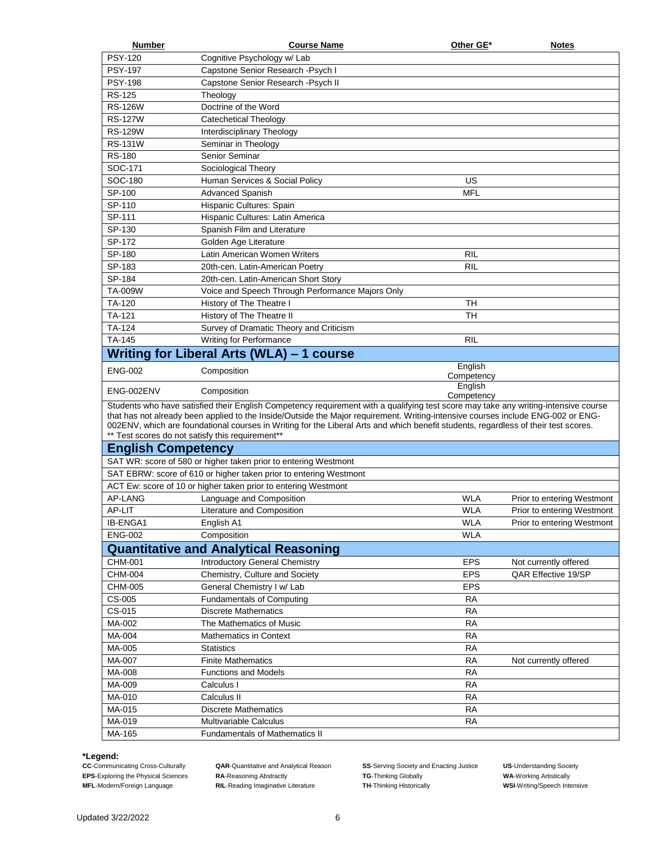| Number                    | <b>Course Name</b>                                                                                                                  | Other GE*  | <b>Notes</b>               |
|---------------------------|-------------------------------------------------------------------------------------------------------------------------------------|------------|----------------------------|
| <b>PSY-120</b>            | Cognitive Psychology w/ Lab                                                                                                         |            |                            |
| <b>PSY-197</b>            | Capstone Senior Research - Psych I                                                                                                  |            |                            |
| <b>PSY-198</b>            | Capstone Senior Research - Psych II                                                                                                 |            |                            |
| <b>RS-125</b>             | Theology                                                                                                                            |            |                            |
| <b>RS-126W</b>            | Doctrine of the Word                                                                                                                |            |                            |
| <b>RS-127W</b>            | Catechetical Theology                                                                                                               |            |                            |
| <b>RS-129W</b>            | Interdisciplinary Theology                                                                                                          |            |                            |
| <b>RS-131W</b>            | Seminar in Theology                                                                                                                 |            |                            |
| <b>RS-180</b>             | Senior Seminar                                                                                                                      |            |                            |
| SOC-171                   | Sociological Theory                                                                                                                 |            |                            |
| SOC-180                   | Human Services & Social Policy                                                                                                      | US         |                            |
| SP-100                    | <b>Advanced Spanish</b>                                                                                                             | <b>MFL</b> |                            |
| SP-110                    | Hispanic Cultures: Spain                                                                                                            |            |                            |
| SP-111                    | Hispanic Cultures: Latin America                                                                                                    |            |                            |
| SP-130                    | Spanish Film and Literature                                                                                                         |            |                            |
| SP-172                    | Golden Age Literature                                                                                                               |            |                            |
| SP-180                    | Latin American Women Writers                                                                                                        | <b>RIL</b> |                            |
| SP-183                    | 20th-cen. Latin-American Poetry                                                                                                     | RIL        |                            |
| SP-184                    | 20th-cen. Latin-American Short Story                                                                                                |            |                            |
| TA-009W                   | Voice and Speech Through Performance Majors Only                                                                                    |            |                            |
| TA-120                    | History of The Theatre I                                                                                                            | TН         |                            |
| <b>TA-121</b>             | History of The Theatre II                                                                                                           | <b>TH</b>  |                            |
| <b>TA-124</b>             | Survey of Dramatic Theory and Criticism                                                                                             |            |                            |
| TA-145                    | Writing for Performance                                                                                                             | RIL        |                            |
|                           | Writing for Liberal Arts (WLA) – 1 course                                                                                           |            |                            |
|                           |                                                                                                                                     | English    |                            |
| <b>ENG-002</b>            | Composition                                                                                                                         | Competency |                            |
| ENG-002ENV                | Composition                                                                                                                         | English    |                            |
|                           | Students who have satisfied their English Competency requirement with a qualifying test score may take any writing-intensive course | Competency |                            |
|                           | that has not already been applied to the Inside/Outside the Major requirement. Writing-intensive courses include ENG-002 or ENG-    |            |                            |
|                           | 002ENV, which are foundational courses in Writing for the Liberal Arts and which benefit students, regardless of their test scores. |            |                            |
|                           | ** Test scores do not satisfy this requirement**                                                                                    |            |                            |
| <b>English Competency</b> |                                                                                                                                     |            |                            |
|                           | SAT WR: score of 580 or higher taken prior to entering Westmont                                                                     |            |                            |
|                           | SAT EBRW: score of 610 or higher taken prior to entering Westmont                                                                   |            |                            |
|                           | ACT Ew: score of 10 or higher taken prior to entering Westmont                                                                      |            |                            |
| AP-LANG                   | Language and Composition                                                                                                            | <b>WLA</b> | Prior to entering Westmont |
| AP-LIT                    | Literature and Composition                                                                                                          | <b>WLA</b> | Prior to entering Westmont |
| IB-ENGA1                  | English A1                                                                                                                          | <b>WLA</b> | Prior to entering Westmont |
| <b>ENG-002</b>            | Composition                                                                                                                         | <b>WLA</b> |                            |
|                           | <b>Quantitative and Analytical Reasoning</b>                                                                                        |            |                            |
| CHM-001                   | Introductory General Chemistry                                                                                                      | <b>EPS</b> | Not currently offered      |
| <b>CHM-004</b>            | Chemistry, Culture and Society                                                                                                      | <b>EPS</b> | QAR Effective 19/SP        |
| CHM-005                   | General Chemistry I w/ Lab                                                                                                          | <b>EPS</b> |                            |
| CS-005                    | <b>Fundamentals of Computing</b>                                                                                                    | <b>RA</b>  |                            |
| CS-015                    | <b>Discrete Mathematics</b>                                                                                                         | <b>RA</b>  |                            |
| MA-002                    | The Mathematics of Music                                                                                                            | <b>RA</b>  |                            |
| MA-004                    | <b>Mathematics in Context</b>                                                                                                       | <b>RA</b>  |                            |
| MA-005                    | <b>Statistics</b>                                                                                                                   | RA         |                            |
| MA-007                    | <b>Finite Mathematics</b>                                                                                                           | <b>RA</b>  | Not currently offered      |
| MA-008                    | <b>Functions and Models</b>                                                                                                         | <b>RA</b>  |                            |
| MA-009                    | Calculus I                                                                                                                          | <b>RA</b>  |                            |
| MA-010                    | Calculus II                                                                                                                         | <b>RA</b>  |                            |
| MA-015                    | <b>Discrete Mathematics</b>                                                                                                         | <b>RA</b>  |                            |
| MA-019                    | Multivariable Calculus                                                                                                              | <b>RA</b>  |                            |
| MA-165                    | <b>Fundamentals of Mathematics II</b>                                                                                               |            |                            |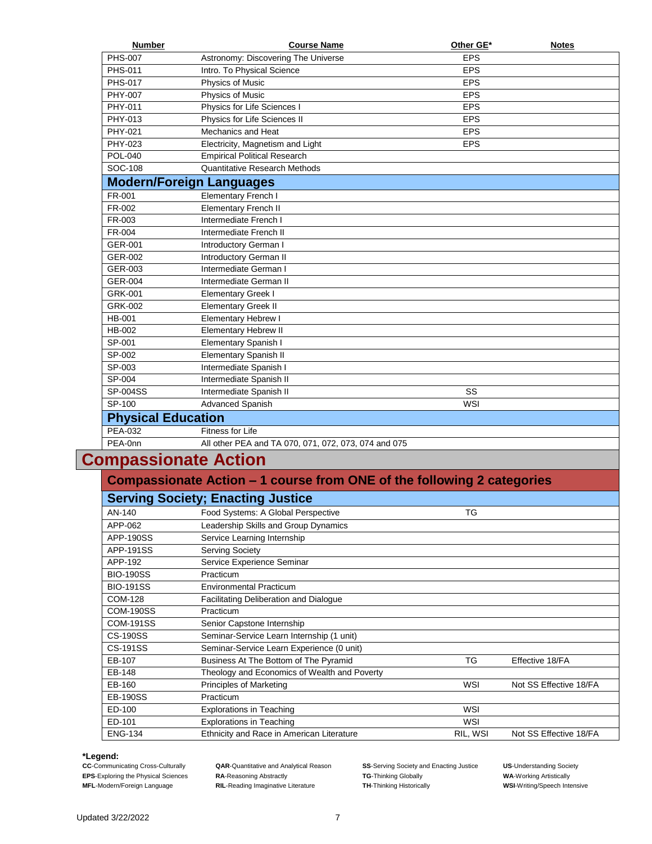| <b>Number</b>                                                          | <b>Course Name</b>                                   | Other GE*  | <b>Notes</b> |  |
|------------------------------------------------------------------------|------------------------------------------------------|------------|--------------|--|
| <b>PHS-007</b>                                                         | Astronomy: Discovering The Universe                  | <b>EPS</b> |              |  |
| <b>PHS-011</b>                                                         | Intro. To Physical Science                           | <b>EPS</b> |              |  |
| <b>PHS-017</b>                                                         | Physics of Music                                     | <b>EPS</b> |              |  |
| PHY-007                                                                | <b>Physics of Music</b>                              | <b>EPS</b> |              |  |
| PHY-011                                                                | Physics for Life Sciences I                          | <b>EPS</b> |              |  |
| PHY-013                                                                | Physics for Life Sciences II                         | <b>EPS</b> |              |  |
| PHY-021                                                                | <b>Mechanics and Heat</b>                            | <b>EPS</b> |              |  |
| PHY-023                                                                | Electricity, Magnetism and Light                     | <b>EPS</b> |              |  |
| POL-040                                                                | <b>Empirical Political Research</b>                  |            |              |  |
| SOC-108                                                                | <b>Quantitative Research Methods</b>                 |            |              |  |
|                                                                        | <b>Modern/Foreign Languages</b>                      |            |              |  |
| FR-001                                                                 | <b>Elementary French I</b>                           |            |              |  |
| FR-002                                                                 | <b>Elementary French II</b>                          |            |              |  |
| FR-003                                                                 | Intermediate French I                                |            |              |  |
| FR-004                                                                 | Intermediate French II                               |            |              |  |
| GER-001                                                                | Introductory German I                                |            |              |  |
| GER-002                                                                | Introductory German II                               |            |              |  |
| GER-003                                                                | Intermediate German I                                |            |              |  |
| GER-004                                                                | Intermediate German II                               |            |              |  |
| GRK-001                                                                | <b>Elementary Greek I</b>                            |            |              |  |
| GRK-002                                                                | <b>Elementary Greek II</b>                           |            |              |  |
| HB-001                                                                 | <b>Elementary Hebrew I</b>                           |            |              |  |
| <b>HB-002</b>                                                          | <b>Elementary Hebrew II</b>                          |            |              |  |
| SP-001                                                                 | <b>Elementary Spanish I</b>                          |            |              |  |
| SP-002                                                                 | <b>Elementary Spanish II</b>                         |            |              |  |
| SP-003                                                                 | Intermediate Spanish I                               |            |              |  |
| SP-004                                                                 | Intermediate Spanish II                              |            |              |  |
| SP-004SS                                                               | Intermediate Spanish II                              | SS         |              |  |
| SP-100                                                                 | Advanced Spanish                                     | WSI        |              |  |
| <b>Physical Education</b>                                              |                                                      |            |              |  |
| <b>PEA-032</b>                                                         | <b>Fitness for Life</b>                              |            |              |  |
| PEA-0nn                                                                | All other PEA and TA 070, 071, 072, 073, 074 and 075 |            |              |  |
| ompassionate Action                                                    |                                                      |            |              |  |
| Compassionate Action - 1 course from ONE of the following 2 categories |                                                      |            |              |  |
|                                                                        | <b>Serving Society; Enacting Justice</b>             |            |              |  |
| AN-140                                                                 | Food Systems: A Global Perspective                   | ТG         |              |  |
| APP-062                                                                | Leadership Skills and Group Dynamics                 |            |              |  |
| <b>APP-190SS</b>                                                       | Service Learning Internship                          |            |              |  |
| <b>APP-191SS</b>                                                       | <b>Serving Society</b>                               |            |              |  |
|                                                                        |                                                      |            |              |  |

## **Compassionate Action**

|                  | <b>Serving Society; Enacting Justice</b>     |            |                        |
|------------------|----------------------------------------------|------------|------------------------|
| AN-140           | Food Systems: A Global Perspective           | TG         |                        |
| APP-062          | Leadership Skills and Group Dynamics         |            |                        |
| APP-190SS        | Service Learning Internship                  |            |                        |
| APP-191SS        | <b>Serving Society</b>                       |            |                        |
| APP-192          | Service Experience Seminar                   |            |                        |
| <b>BIO-190SS</b> | Practicum                                    |            |                        |
| <b>BIO-191SS</b> | <b>Environmental Practicum</b>               |            |                        |
| <b>COM-128</b>   | Facilitating Deliberation and Dialogue       |            |                        |
| <b>COM-190SS</b> | Practicum                                    |            |                        |
| <b>COM-191SS</b> | Senior Capstone Internship                   |            |                        |
| <b>CS-190SS</b>  | Seminar-Service Learn Internship (1 unit)    |            |                        |
| CS-191SS         | Seminar-Service Learn Experience (0 unit)    |            |                        |
| EB-107           | Business At The Bottom of The Pyramid        | TG         | Effective 18/FA        |
| EB-148           | Theology and Economics of Wealth and Poverty |            |                        |
| EB-160           | Principles of Marketing                      | WSI        | Not SS Effective 18/FA |
| <b>EB-190SS</b>  | Practicum                                    |            |                        |
| ED-100           | <b>Explorations in Teaching</b>              | WSI        |                        |
| ED-101           | <b>Explorations in Teaching</b>              | <b>WSI</b> |                        |
| <b>ENG-134</b>   | Ethnicity and Race in American Literature    | RIL, WSI   | Not SS Effective 18/FA |

### **\*Legend:**

**CAR-Cuantitative and Analytical Reason <b>SS-Serving Society and Enacting Justice US-Understanding Society**<br> **RA-Reasoning Abstractly TG-Thinking Globally COLOGY WA-Working Artistically RIL-Reading Imaginative Literature** 

**EC-Communicating Cross-Culturally COM**<br> **EPS-Exploring the Physical Sciences RA-Reasoning Abstractly TG-Thinking Globally <b>TG-Thinking Condences WA-Working Artistically CC-Communicating the Physical Sciences R**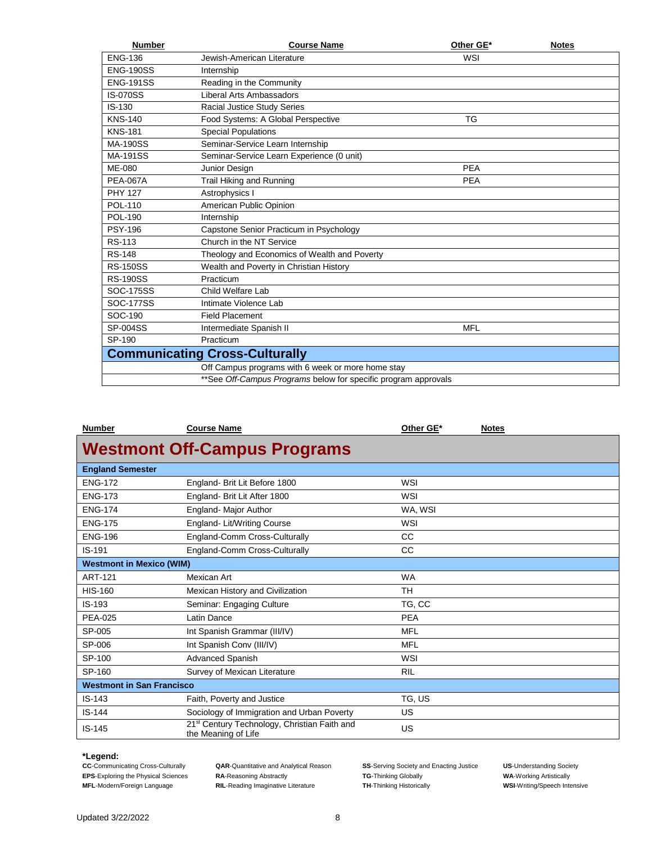| <b>Number</b>                         | <b>Course Name</b>                                              | Other GE*  | <b>Notes</b> |  |
|---------------------------------------|-----------------------------------------------------------------|------------|--------------|--|
| <b>ENG-136</b>                        | Jewish-American Literature                                      | WSI        |              |  |
| <b>ENG-190SS</b>                      | Internship                                                      |            |              |  |
| <b>ENG-191SS</b>                      | Reading in the Community                                        |            |              |  |
| <b>IS-070SS</b>                       | Liberal Arts Ambassadors                                        |            |              |  |
| $IS-130$                              | Racial Justice Study Series                                     |            |              |  |
| <b>KNS-140</b>                        | Food Systems: A Global Perspective                              | TG         |              |  |
| <b>KNS-181</b>                        | <b>Special Populations</b>                                      |            |              |  |
| <b>MA-190SS</b>                       | Seminar-Service Learn Internship                                |            |              |  |
| <b>MA-191SS</b>                       | Seminar-Service Learn Experience (0 unit)                       |            |              |  |
| ME-080                                | Junior Design                                                   | <b>PEA</b> |              |  |
| <b>PEA-067A</b>                       | Trail Hiking and Running                                        | <b>PEA</b> |              |  |
| <b>PHY 127</b>                        | Astrophysics I                                                  |            |              |  |
| <b>POL-110</b>                        | American Public Opinion                                         |            |              |  |
| <b>POL-190</b>                        | Internship                                                      |            |              |  |
| <b>PSY-196</b>                        | Capstone Senior Practicum in Psychology                         |            |              |  |
| <b>RS-113</b>                         | Church in the NT Service                                        |            |              |  |
| <b>RS-148</b>                         | Theology and Economics of Wealth and Poverty                    |            |              |  |
| <b>RS-150SS</b>                       | Wealth and Poverty in Christian History                         |            |              |  |
| <b>RS-190SS</b>                       | Practicum                                                       |            |              |  |
| <b>SOC-175SS</b>                      | Child Welfare Lab                                               |            |              |  |
| <b>SOC-177SS</b>                      | Intimate Violence Lab                                           |            |              |  |
| SOC-190                               | <b>Field Placement</b>                                          |            |              |  |
| SP-004SS                              | Intermediate Spanish II                                         | <b>MFL</b> |              |  |
| SP-190                                | Practicum                                                       |            |              |  |
| <b>Communicating Cross-Culturally</b> |                                                                 |            |              |  |
|                                       | Off Campus programs with 6 week or more home stay               |            |              |  |
|                                       | ** See Off-Campus Programs below for specific program approvals |            |              |  |

| <b>Number</b>                    | <b>Course Name</b>                                                              | Other GE*  | <b>Notes</b> |  |  |
|----------------------------------|---------------------------------------------------------------------------------|------------|--------------|--|--|
|                                  | <b>Westmont Off-Campus Programs</b>                                             |            |              |  |  |
| <b>England Semester</b>          |                                                                                 |            |              |  |  |
| <b>ENG-172</b>                   | England- Brit Lit Before 1800                                                   | WSI        |              |  |  |
| <b>ENG-173</b>                   | England- Brit Lit After 1800                                                    | WSI        |              |  |  |
| <b>ENG-174</b>                   | England- Major Author                                                           | WA, WSI    |              |  |  |
| <b>ENG-175</b>                   | England-Lit/Writing Course                                                      | WSI        |              |  |  |
| <b>ENG-196</b>                   | England-Comm Cross-Culturally                                                   | <b>CC</b>  |              |  |  |
| IS-191                           | England-Comm Cross-Culturally                                                   | CC.        |              |  |  |
| <b>Westmont in Mexico (WIM)</b>  |                                                                                 |            |              |  |  |
| <b>ART-121</b>                   | Mexican Art                                                                     | <b>WA</b>  |              |  |  |
| <b>HIS-160</b>                   | Mexican History and Civilization                                                | <b>TH</b>  |              |  |  |
| IS-193                           | Seminar: Engaging Culture                                                       | TG, CC     |              |  |  |
| <b>PEA-025</b>                   | Latin Dance                                                                     | <b>PEA</b> |              |  |  |
| SP-005                           | Int Spanish Grammar (III/IV)                                                    | <b>MFL</b> |              |  |  |
| SP-006                           | Int Spanish Conv (III/IV)                                                       | <b>MFL</b> |              |  |  |
| SP-100                           | Advanced Spanish                                                                | WSI        |              |  |  |
| SP-160                           | Survey of Mexican Literature                                                    | <b>RIL</b> |              |  |  |
| <b>Westmont in San Francisco</b> |                                                                                 |            |              |  |  |
| $IS-143$                         | Faith, Poverty and Justice                                                      | TG, US     |              |  |  |
| IS-144                           | Sociology of Immigration and Urban Poverty                                      | US         |              |  |  |
| $IS-145$                         | 21 <sup>st</sup> Century Technology, Christian Faith and<br>the Meaning of Life | US         |              |  |  |